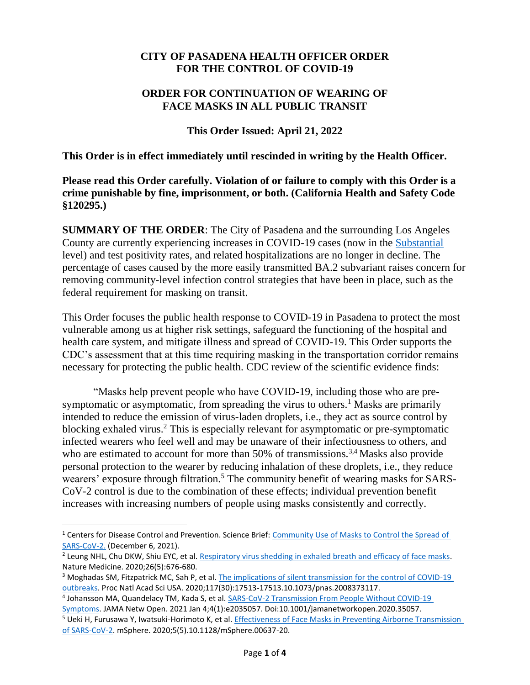## **CITY OF PASADENA HEALTH OFFICER ORDER FOR THE CONTROL OF COVID-19**

## **ORDER FOR CONTINUATION OF WEARING OF FACE MASKS IN ALL PUBLIC TRANSIT**

**This Order Issued: April 21, 2022**

**This Order is in effect immediately until rescinded in writing by the Health Officer.**

**Please read this Order carefully. Violation of or failure to comply with this Order is a crime punishable by fine, imprisonment, or both. (California Health and Safety Code §120295.)**

**SUMMARY OF THE ORDER**: The City of Pasadena and the surrounding Los Angeles County are currently experiencing increases in COVID-19 cases (now in the [Substantial](https://covid.cdc.gov/covid-data-tracker/#county-view?list_select_state=all_states&list_select_county=all_counties&data-type=CommunityLevels&null=Risk) level) and test positivity rates, and related hospitalizations are no longer in decline. The percentage of cases caused by the more easily transmitted BA.2 subvariant raises concern for removing community-level infection control strategies that have been in place, such as the federal requirement for masking on transit.

This Order focuses the public health response to COVID-19 in Pasadena to protect the most vulnerable among us at higher risk settings, safeguard the functioning of the hospital and health care system, and mitigate illness and spread of COVID-19. This Order supports the CDC's assessment that at this time requiring masking in the transportation corridor remains necessary for protecting the public health. CDC review of the scientific evidence finds:

"Masks help prevent people who have COVID-19, including those who are presymptomatic or asymptomatic, from spreading the virus to others.<sup>1</sup> Masks are primarily intended to reduce the emission of virus-laden droplets, i.e., they act as source control by blocking exhaled virus.<sup>2</sup> This is especially relevant for asymptomatic or pre-symptomatic infected wearers who feel well and may be unaware of their infectiousness to others, and who are estimated to account for more than 50% of transmissions.<sup>3,4</sup> Masks also provide personal protection to the wearer by reducing inhalation of these droplets, i.e., they reduce wearers' exposure through filtration.<sup>5</sup> The community benefit of wearing masks for SARS-CoV-2 control is due to the combination of these effects; individual prevention benefit increases with increasing numbers of people using masks consistently and correctly.

 $\overline{\phantom{a}}$ 

<sup>&</sup>lt;sup>1</sup> Centers for Disease Control and Prevention. Science Brief: Community Use of Masks to Control the Spread of [SARS-CoV-2.](https://www.cdc.gov/coronavirus/2019-ncov/science/science-briefs/masking-science-sars-cov2.html?CDC_AA_refVal=https%3A%2F%2Fwww.cdc.gov%2Fcoronavirus%2F2019-ncov%2Fmore%2Fmasking-science-sars-cov2.html) (December 6, 2021).

<sup>&</sup>lt;sup>2</sup> Leung NHL, Chu DKW, Shiu EYC, et al. [Respiratory virus shedding in exhaled breath and efficacy of face masks.](https://www.nature.com/articles/s41591-020-0843-2) Nature Medicine. 2020;26(5):676-680.

<sup>&</sup>lt;sup>3</sup> Moghadas SM, Fitzpatrick MC, Sah P, et al. The implications of silent transmission for the control of COVID-19 [outbreaks.](https://pubmed.ncbi.nlm.nih.gov/32632012/) Proc Natl Acad Sci USA. 2020;117(30):17513-17513.10.1073/pnas.2008373117.

<sup>&</sup>lt;sup>4</sup> Johansson MA, Quandelacy TM, Kada S, et al. SARS-CoV-2 Transmission From People Without COVID-19 [Symptoms.](https://jamanetwork.com/journals/jamanetworkopen/fullarticle/2774707) JAMA Netw Open. 2021 Jan 4;4(1):e2035057. Doi:10.1001/jamanetworkopen.2020.35057.

<sup>5</sup> Ueki H, Furusawa Y, Iwatsuki-Horimoto K, et al. [Effectiveness of Face Masks in Preventing Airborne Transmission](https://pubmed.ncbi.nlm.nih.gov/33087517/)  [of SARS-CoV-2.](https://pubmed.ncbi.nlm.nih.gov/33087517/) mSphere. 2020;5(5).10.1128/mSphere.00637-20.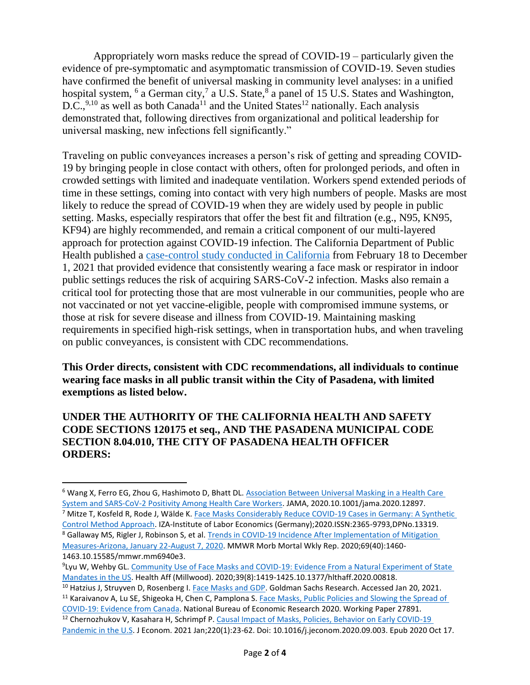Appropriately worn masks reduce the spread of COVID-19 – particularly given the evidence of pre-symptomatic and asymptomatic transmission of COVID-19. Seven studies have confirmed the benefit of universal masking in community level analyses: in a unified hospital system, <sup>6</sup> a German city,<sup>7</sup> a U.S. State,<sup>8</sup> a panel of 15 U.S. States and Washington,  $D.C.,<sup>9,10</sup>$  as well as both Canada<sup>11</sup> and the United States<sup>12</sup> nationally. Each analysis demonstrated that, following directives from organizational and political leadership for universal masking, new infections fell significantly."

Traveling on public conveyances increases a person's risk of getting and spreading COVID-19 by bringing people in close contact with others, often for prolonged periods, and often in crowded settings with limited and inadequate ventilation. Workers spend extended periods of time in these settings, coming into contact with very high numbers of people. Masks are most likely to reduce the spread of COVID-19 when they are widely used by people in public setting. Masks, especially respirators that offer the best fit and filtration (e.g., N95, KN95, KF94) are highly recommended, and remain a critical component of our multi-layered approach for protection against COVID-19 infection. The California Department of Public Health published a [case-control study conducted in California](https://www.cdc.gov/mmwr/volumes/71/wr/mm7106e1.htm) from February 18 to December 1, 2021 that provided evidence that consistently wearing a face mask or respirator in indoor public settings reduces the risk of acquiring SARS-CoV-2 infection. Masks also remain a critical tool for protecting those that are most vulnerable in our communities, people who are not vaccinated or not yet vaccine-eligible, people with compromised immune systems, or those at risk for severe disease and illness from COVID-19. Maintaining masking requirements in specified high-risk settings, when in transportation hubs, and when traveling on public conveyances, is consistent with CDC recommendations.

**This Order directs, consistent with CDC recommendations, all individuals to continue wearing face masks in all public transit within the City of Pasadena, with limited exemptions as listed below.**

## **UNDER THE AUTHORITY OF THE CALIFORNIA HEALTH AND SAFETY CODE SECTIONS 120175 et seq., AND THE PASADENA MUNICIPAL CODE SECTION 8.04.010, THE CITY OF PASADENA HEALTH OFFICER ORDERS:**

l

<sup>6</sup> Wang X, Ferro EG, Zhou G, Hashimoto D, Bhatt DL. [Association Between Universal Masking in a Health Care](https://pubmed.ncbi.nlm.nih.gov/32663246/)  [System and SARS-CoV-2 Positivity Among Health Care Workers.](https://pubmed.ncbi.nlm.nih.gov/32663246/) JAMA, 2020.10.1001/jama.2020.12897.

<sup>7</sup> Mitze T, Kosfeld R, Rode J, Wälde K[. Face Masks Considerably Reduce COVID-19 Cases in Germany: A Synthetic](https://ftp.iza.org/dp13319.pdf)  [Control Method Approach.](https://ftp.iza.org/dp13319.pdf) IZA-Institute of Labor Economics (Germany);2020.ISSN:2365-9793,DPNo.13319. <sup>8</sup> Gallaway MS, Rigler J, Robinson S, et al. Trends in COVID-19 Incidence After Implementation of Mitigation [Measures-Arizona, January 22-August 7, 2020.](https://pubmed.ncbi.nlm.nih.gov/33031366/) MMWR Morb Mortal Wkly Rep. 2020;69(40):1460- 1463.10.15585/mmwr.mm6940e3.

<sup>9</sup> Lyu W, Wehby GL[. Community Use of Face Masks and COVID-19: Evidence From a Natural Experiment of State](https://pubmed.ncbi.nlm.nih.gov/32543923/)  [Mandates in the US.](https://pubmed.ncbi.nlm.nih.gov/32543923/) Health Aff (Millwood). 2020;39(8):1419-1425.10.1377/hlthaff.2020.00818.

<sup>&</sup>lt;sup>10</sup> Hatzius J, Struyven D, Rosenberg I. [Face Masks and GDP.](https://www.goldmansachs.com/insights/pages/face-masks-and-gdp.html) Goldman Sachs Research. Accessed Jan 20, 2021. <sup>11</sup> Karaivanov A, Lu SE, Shigeoka H, Chen C, Pamplona S. Face Masks, Public Policies and Slowing the Spread of

[COVID-19: Evidence from Canada.](https://www.nber.org/papers/w27891) National Bureau of Economic Research 2020. Working Paper 27891. <sup>12</sup> Chernozhukov V, Kasahara H, Schrimpf P. Causal Impact of Masks, Policies, Behavior on Early COVID-19

[Pandemic in the U.S.](https://www.sciencedirect.com/science/article/pii/S0304407620303468) J Econom. 2021 Jan;220(1):23-62. Doi: 10.1016/j.jeconom.2020.09.003. Epub 2020 Oct 17.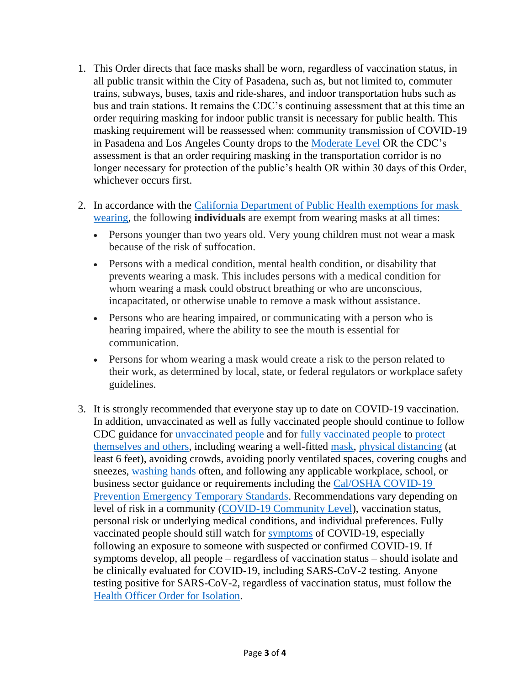- 1. This Order directs that face masks shall be worn, regardless of vaccination status, in all public transit within the City of Pasadena, such as, but not limited to, commuter trains, subways, buses, taxis and ride-shares, and indoor transportation hubs such as bus and train stations. It remains the CDC's continuing assessment that at this time an order requiring masking for indoor public transit is necessary for public health. This masking requirement will be reassessed when: community transmission of COVID-19 in Pasadena and Los Angeles County drops to the [Moderate Level](https://covid.cdc.gov/covid-data-tracker/#county-view?list_select_state=all_states&list_select_county=all_counties&data-type=CommunityLevels&null=Risk) OR the CDC's assessment is that an order requiring masking in the transportation corridor is no longer necessary for protection of the public's health OR within 30 days of this Order, whichever occurs first.
- 2. In accordance with the [California Department of Public Health exemptions for mask](https://www.cdph.ca.gov/Programs/CID/DCDC/Pages/COVID-19/guidance-for-face-coverings.aspx)  [wearing,](https://www.cdph.ca.gov/Programs/CID/DCDC/Pages/COVID-19/guidance-for-face-coverings.aspx) the following **individuals** are exempt from wearing masks at all times:
	- Persons younger than two years old. Very young children must not wear a mask because of the risk of suffocation.
	- Persons with a medical condition, mental health condition, or disability that prevents wearing a mask. This includes persons with a medical condition for whom wearing a mask could obstruct breathing or who are unconscious, incapacitated, or otherwise unable to remove a mask without assistance.
	- Persons who are hearing impaired, or communicating with a person who is hearing impaired, where the ability to see the mouth is essential for communication.
	- Persons for whom wearing a mask would create a risk to the person related to their work, as determined by local, state, or federal regulators or workplace safety guidelines.
- 3. It is strongly recommended that everyone stay up to date on COVID-19 vaccination. In addition, unvaccinated as well as fully vaccinated people should continue to follow CDC guidance for [unvaccinated people](https://www.cdc.gov/coronavirus/2019-ncov/prevent-getting-sick/prevention.html) and for [fully vaccinated people](https://www.cdc.gov/coronavirus/2019-ncov/vaccines/fully-vaccinated.html) to [protect](https://www.cdc.gov/coronavirus/2019-ncov/prevent-getting-sick/prevention.html)  [themselves and others,](https://www.cdc.gov/coronavirus/2019-ncov/prevent-getting-sick/prevention.html) including wearing a well-fitted [mask,](https://www.cdc.gov/coronavirus/2019-ncov/prevent-getting-sick/diy-cloth-face-coverings.html) [physical distancing](https://www.cdc.gov/coronavirus/2019-ncov/prevent-getting-sick/social-distancing.html) (at least 6 feet), avoiding crowds, avoiding poorly ventilated spaces, covering coughs and sneezes, [washing hands](https://www.cdc.gov/handwashing/when-how-handwashing.html) often, and following any applicable workplace, school, or business sector guidance or requirements including the [Cal/OSHA COVID-19](https://www.dir.ca.gov/dosh/coronavirus/ETS.html)  [Prevention Emergency Temporary Standards.](https://www.dir.ca.gov/dosh/coronavirus/ETS.html) Recommendations vary depending on level of risk in a community [\(COVID-19 Community Level\)](https://www.cdc.gov/coronavirus/2019-ncov/your-health/covid-by-county.html), vaccination status, personal risk or underlying medical conditions, and individual preferences. Fully vaccinated people should still watch for [symptoms](https://www.cdc.gov/coronavirus/2019-ncov/symptoms-testing/symptoms.html) of COVID-19, especially following an exposure to someone with suspected or confirmed COVID-19. If symptoms develop, all people – regardless of vaccination status – should isolate and be clinically evaluated for COVID-19, including SARS-CoV-2 testing. Anyone testing positive for SARS-CoV-2, regardless of vaccination status, must follow the [Health Officer Order for Isolation.](https://www.cityofpasadena.net/public-health/wp-content/uploads/sites/32/Pasadena-Health-Officer-Blanket-Isolation-Order.pdf?v=1623478202624)